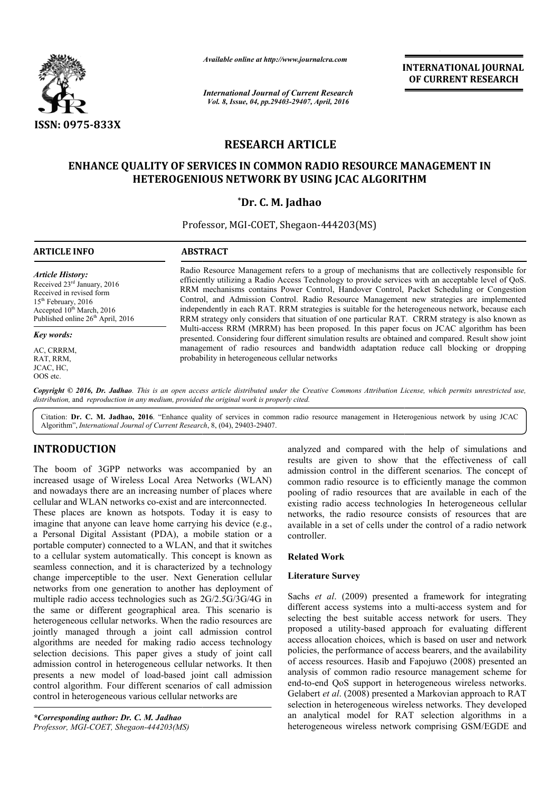

*Available online at http://www.journalcra.com*

*International Journal of Current Research Vol. 8, Issue, 04, pp.29403-29407, April, 2016*

**INTERNATIONAL JOURNAL OF CURRENT RESEARCH** 

# **RESEARCH ARTICLE**

# **ENHANCE QUALITY OF SERVICES IN COMMON RADIO RESOURCE MANAGEMENT IN HETEROGENIOUS NETWORK BY USING JCAC ALGORITHM**

# **\*Dr. C. M. Jadhao**

Professor, MGI MGI-COET, Shegaon-444203(MS)

| ARTICLE INFO                                                                                                                                                                              | <b>ABSTRACT</b>                                                                                                                                                                                                                                                                                                                                                                                                                                                                                                                                                                                                                                                                                                                                                                                                                                                                                                                                             |
|-------------------------------------------------------------------------------------------------------------------------------------------------------------------------------------------|-------------------------------------------------------------------------------------------------------------------------------------------------------------------------------------------------------------------------------------------------------------------------------------------------------------------------------------------------------------------------------------------------------------------------------------------------------------------------------------------------------------------------------------------------------------------------------------------------------------------------------------------------------------------------------------------------------------------------------------------------------------------------------------------------------------------------------------------------------------------------------------------------------------------------------------------------------------|
| Article History:<br>Received $23rd$ January, 2016<br>Received in revised form<br>$15th$ February, 2016<br>Accepted $10^{th}$ March, 2016<br>Published online 26 <sup>th</sup> April, 2016 | Radio Resource Management refers to a group of mechanisms that are collectively responsible for<br>efficiently utilizing a Radio Access Technology to provide services with an acceptable level of QoS.<br>RRM mechanisms contains Power Control, Handover Control, Packet Scheduling or Congestion<br>Control, and Admission Control. Radio Resource Management new strategies are implemented<br>independently in each RAT. RRM strategies is suitable for the heterogeneous network, because each<br>RRM strategy only considers that situation of one particular RAT. CRRM strategy is also known as<br>Multi-access RRM (MRRM) has been proposed. In this paper focus on JCAC algorithm has been<br>presented. Considering four different simulation results are obtained and compared. Result show joint<br>management of radio resources and bandwidth adaptation reduce call blocking or dropping<br>probability in heterogeneous cellular networks |
| Key words:                                                                                                                                                                                |                                                                                                                                                                                                                                                                                                                                                                                                                                                                                                                                                                                                                                                                                                                                                                                                                                                                                                                                                             |
| AC, CRRRM,<br>RAT, RRM,<br>JCAC. HC.                                                                                                                                                      |                                                                                                                                                                                                                                                                                                                                                                                                                                                                                                                                                                                                                                                                                                                                                                                                                                                                                                                                                             |

Copyright © 2016, Dr. Jadhao. This is an open access article distributed under the Creative Commons Attribution License, which permits unrestricted use, *distribution,* and *reproduction in any medium, provided the original work is properly cited.*

Citation: Dr. C. M. Jadhao, 2016. "Enhance quality of services in common radio resource management in Heterogenious network by using JCAC Algorithm", *International Journal of Current Research* , 8, (04), 29403-29407.

# **INTRODUCTION**

QOS etc.

The boom of 3GPP networks was accompanied by an increased usage of Wireless Local Area Networks (WLAN) and nowadays there are an increasing number of places where cellular and WLAN networks co-exist and are interconnected.

These places are known as hotspots. Today it is easy to imagine that anyone can leave home carrying his device (e.g., a Personal Digital Assistant (PDA), a mobile station or a portable computer) connected to a WLAN, and that it switches to a cellular system automatically. This concept is known as seamless connection, and it is characterized by a technology change imperceptible to the user. Next Generation cellular networks from one generation to another has deployment of multiple radio access technologies such as 2G/2.5G/3G/4G in the same or different geographical area. This scenario is heterogeneous cellular networks. When the radio resources are jointly managed through a joint call admission control algorithms are needed for making radio access technology selection decisions. This paper gives a study of joint call admission control in heterogeneous cellular networks. It then presents a new model of load-based joint call admission control algorithm. Four different scenarios of call ad control in heterogeneous various cellular networks are io access technologies such as 2G/2.5G/3G/4G in<br>r different geographical area. This scenario is<br>us cellular networks. When the radio resources are<br>aaged through a joint call admission control<br>are needed for making radio ac

*\*Corresponding author: Dr. C. M. Jadhao Professor, MGI-COET, Shegaon-444203(MS)* analyzed and compared with the help of simulations and analyzed and compared with the help of simulations and results are given to show that the effectiveness of call admission control in the different scenarios. The concept of common radio resource is to efficiently manage the common pooling of radio resources that are available in each of the existing radio access technologies In heterogeneous cellular networks, the radio resource consists of resources that are available in a set of cells under the control of a radio network controller. common radio resource is to efficiently manage the common<br>pooling of radio resources that are available in each of the<br>existing radio access technologies In heterogeneous cellular<br>networks, the radio resource consists of r

## **Related Work**

## **Literature Survey**

Sachs *et al*. (2009) presented a framework for integrating different access systems into a multi-access system and for selecting the best suitable access network for users. They proposed a utility-based approach for evaluating different access allocation choices, which is based on user and network policies, the performance of access bearers, and of access resources. Hasib and Fapojuwo (2008) presented an analysis of common radio resource management scheme for analysis of common radio resource management scheme for end-to-end QoS support in heterogeneous wireless networks. Gelabert *et al*. (2008) presented a Markovian approach to RAT selection in heterogeneous wireless networks. They developed an analytical model for RAT selection algorithms in a heterogeneous wireless network comprising GSM/EGDE and suitable access network for users. They<br>based approach for evaluating different<br>oices, which is based on user and network<br>nance of access bearers, and the availability **INTERNATIONAL JOURNAL TIONAL TOTAL CONFIRM SET (THE CONFIRM SET (THE CONFIRM SET (THE CONFIRM SET (THE CONFIRM SET (THE CONFIRM SET (THE CONFIRM SET (THE CONFIRM SET (THE CONFIRM SET (THE CONFIRM SET (THE CONFIRM SET (TH**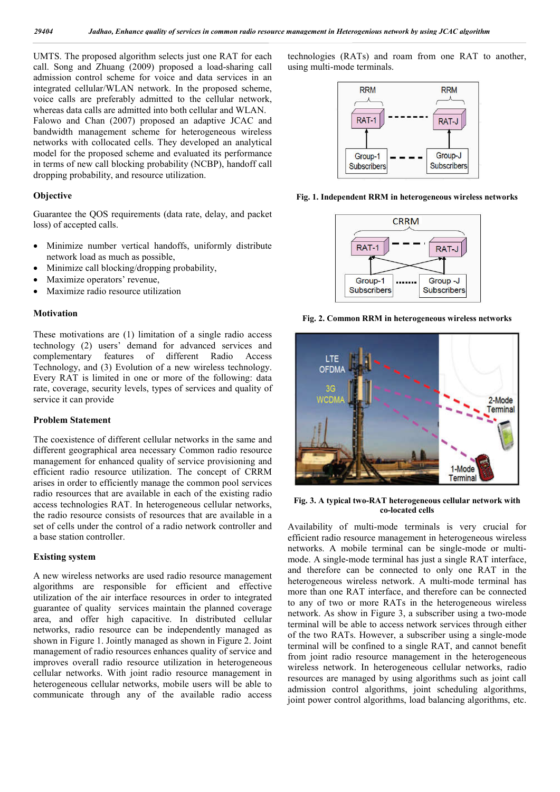UMTS. The proposed algorithm selects just one RAT for each call. Song and Zhuang (2009) proposed a load-sharing call admission control scheme for voice and data services in an integrated cellular/WLAN network. In the proposed scheme, voice calls are preferably admitted to the cellular network, whereas data calls are admitted into both cellular and WLAN. Falowo and Chan (2007) proposed an adaptive JCAC and bandwidth management scheme for heterogeneous wireless networks with collocated cells. They developed an analytical model for the proposed scheme and evaluated its performance in terms of new call blocking probability (NCBP), handoff call dropping probability, and resource utilization.

#### **Objective**

Guarantee the QOS requirements (data rate, delay, and packet loss) of accepted calls.

- Minimize number vertical handoffs, uniformly distribute network load as much as possible,
- Minimize call blocking/dropping probability,
- Maximize operators' revenue,
- Maximize radio resource utilization

#### **Motivation**

These motivations are (1) limitation of a single radio access technology (2) users' demand for advanced services and complementary features of different Radio Access Technology, and (3) Evolution of a new wireless technology. Every RAT is limited in one or more of the following: data rate, coverage, security levels, types of services and quality of service it can provide

### **Problem Statement**

The coexistence of different cellular networks in the same and different geographical area necessary Common radio resource management for enhanced quality of service provisioning and efficient radio resource utilization. The concept of CRRM arises in order to efficiently manage the common pool services radio resources that are available in each of the existing radio access technologies RAT. In heterogeneous cellular networks, the radio resource consists of resources that are available in a set of cells under the control of a radio network controller and a base station controller.

### **Existing system**

A new wireless networks are used radio resource management algorithms are responsible for efficient and effective utilization of the air interface resources in order to integrated guarantee of quality services maintain the planned coverage area, and offer high capacitive. In distributed cellular networks, radio resource can be independently managed as shown in Figure 1. Jointly managed as shown in Figure 2. Joint management of radio resources enhances quality of service and improves overall radio resource utilization in heterogeneous cellular networks. With joint radio resource management in heterogeneous cellular networks, mobile users will be able to communicate through any of the available radio access

technologies (RATs) and roam from one RAT to another, using multi-mode terminals.



**Fig. 1. Independent RRM in heterogeneous wireless networks**



**Fig. 2. Common RRM in heterogeneous wireless networks**



**Fig. 3. A typical two-RAT heterogeneous cellular network with co-located cells**

Availability of multi-mode terminals is very crucial for efficient radio resource management in heterogeneous wireless networks. A mobile terminal can be single-mode or multimode. A single-mode terminal has just a single RAT interface, and therefore can be connected to only one RAT in the heterogeneous wireless network. A multi-mode terminal has more than one RAT interface, and therefore can be connected to any of two or more RATs in the heterogeneous wireless network. As show in Figure 3, a subscriber using a two-mode terminal will be able to access network services through either of the two RATs. However, a subscriber using a single-mode terminal will be confined to a single RAT, and cannot benefit from joint radio resource management in the heterogeneous wireless network. In heterogeneous cellular networks, radio resources are managed by using algorithms such as joint call admission control algorithms, joint scheduling algorithms, joint power control algorithms, load balancing algorithms, etc.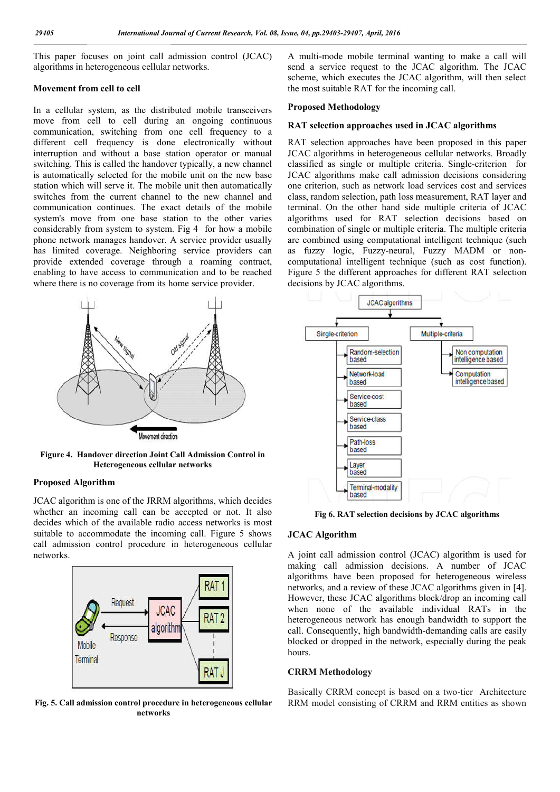This paper focuses on joint call admission control (JCAC) algorithms in heterogeneous cellular networks.

### **Movement from cell to cell**

In a cellular system, as the distributed mobile transceivers move from cell to cell during an ongoing continuous communication, switching from one cell frequency to a different cell frequency is done electronically without interruption and without a base station operator or manual switching. This is called the handover typically, a new channel is automatically selected for the mobile unit on the new base station which will serve it. The mobile unit then automatically switches from the current channel to the new channel and communication continues. The exact details of the mobile system's move from one base station to the other varies considerably from system to system. Fig 4 for how a mobile phone network manages handover. A service provider usually has limited coverage. Neighboring service providers can provide extended coverage through a roaming contract, enabling to have access to communication and to be reached where there is no coverage from its home service provider.



**Figure 4. Handover direction Joint Call Admission Control in Heterogeneous cellular networks**

### **Proposed Algorithm**

JCAC algorithm is one of the JRRM algorithms, which decides whether an incoming call can be accepted or not. It also decides which of the available radio access networks is most suitable to accommodate the incoming call. Figure 5 shows call admission control procedure in heterogeneous cellular networks.



**Fig. 5. Call admission control procedure in heterogeneous cellular networks**

A multi-mode mobile terminal wanting to make a call will send a service request to the JCAC algorithm. The JCAC scheme, which executes the JCAC algorithm, will then select the most suitable RAT for the incoming call.

#### **Proposed Methodology**

#### **RAT selection approaches used in JCAC algorithms**

RAT selection approaches have been proposed in this paper JCAC algorithms in heterogeneous cellular networks. Broadly classified as single or multiple criteria. Single-criterion for JCAC algorithms make call admission decisions considering one criterion, such as network load services cost and services class, random selection, path loss measurement, RAT layer and terminal. On the other hand side multiple criteria of JCAC algorithms used for RAT selection decisions based on combination of single or multiple criteria. The multiple criteria are combined using computational intelligent technique (such as fuzzy logic, Fuzzy-neural, Fuzzy MADM or noncomputational intelligent technique (such as cost function). Figure 5 the different approaches for different RAT selection decisions by JCAC algorithms.



**Fig 6. RAT selection decisions by JCAC algorithms**

## **JCAC Algorithm**

A joint call admission control (JCAC) algorithm is used for making call admission decisions. A number of JCAC algorithms have been proposed for heterogeneous wireless networks, and a review of these JCAC algorithms given in [4]. However, these JCAC algorithms block/drop an incoming call when none of the available individual RATs in the heterogeneous network has enough bandwidth to support the call. Consequently, high bandwidth-demanding calls are easily blocked or dropped in the network, especially during the peak hours.

#### **CRRM Methodology**

Basically CRRM concept is based on a two-tier Architecture RRM model consisting of CRRM and RRM entities as shown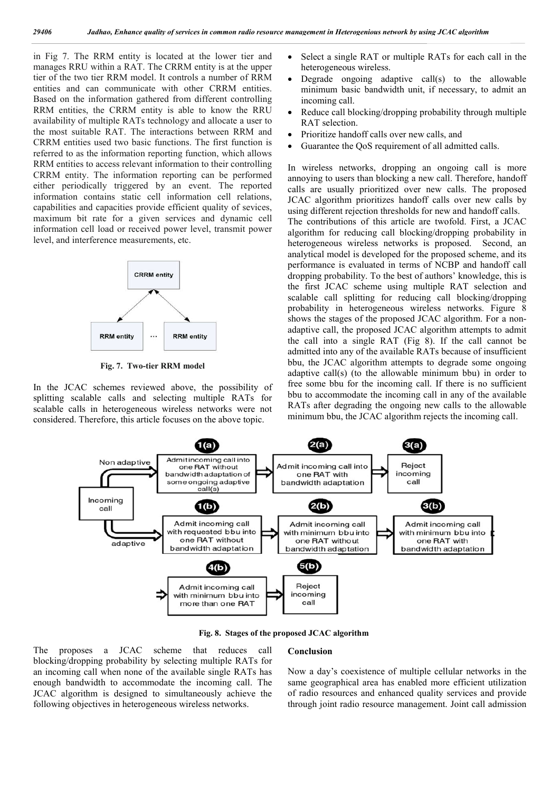in Fig 7. The RRM entity is located at the lower tier and manages RRU within a RAT. The CRRM entity is at the upper tier of the two tier RRM model. It controls a number of RRM entities and can communicate with other CRRM entities. Based on the information gathered from different controlling RRM entities, the CRRM entity is able to know the RRU availability of multiple RATs technology and allocate a user to the most suitable RAT. The interactions between RRM and CRRM entities used two basic functions. The first function is referred to as the information reporting function, which allows RRM entities to access relevant information to their controlling CRRM entity. The information reporting can be performed either periodically triggered by an event. The reported information contains static cell information cell relations, capabilities and capacities provide efficient quality of sevices, maximum bit rate for a given services and dynamic cell information cell load or received power level, transmit power level, and interference measurements, etc.



**Fig. 7. Two-tier RRM model**

In the JCAC schemes reviewed above, the possibility of splitting scalable calls and selecting multiple RATs for scalable calls in heterogeneous wireless networks were not considered. Therefore, this article focuses on the above topic.

- Select a single RAT or multiple RATs for each call in the heterogeneous wireless.
- Degrade ongoing adaptive call(s) to the allowable minimum basic bandwidth unit, if necessary, to admit an incoming call.
- Reduce call blocking/dropping probability through multiple RAT selection.
- Prioritize handoff calls over new calls, and
- Guarantee the QoS requirement of all admitted calls.

In wireless networks, dropping an ongoing call is more annoying to users than blocking a new call. Therefore, handoff calls are usually prioritized over new calls. The proposed JCAC algorithm prioritizes handoff calls over new calls by using different rejection thresholds for new and handoff calls. The contributions of this article are twofold. First, a JCAC algorithm for reducing call blocking/dropping probability in heterogeneous wireless networks is proposed. Second, an analytical model is developed for the proposed scheme, and its performance is evaluated in terms of NCBP and handoff call dropping probability. To the best of authors' knowledge, this is the first JCAC scheme using multiple RAT selection and scalable call splitting for reducing call blocking/dropping probability in heterogeneous wireless networks. Figure 8 shows the stages of the proposed JCAC algorithm. For a nonadaptive call, the proposed JCAC algorithm attempts to admit the call into a single RAT (Fig 8). If the call cannot be admitted into any of the available RATs because of insufficient bbu, the JCAC algorithm attempts to degrade some ongoing adaptive call(s) (to the allowable minimum bbu) in order to free some bbu for the incoming call. If there is no sufficient bbu to accommodate the incoming call in any of the available RATs after degrading the ongoing new calls to the allowable minimum bbu, the JCAC algorithm rejects the incoming call.



**Fig. 8. Stages of the proposed JCAC algorithm**

#### **Conclusion**

The proposes a JCAC scheme that reduces call blocking/dropping probability by selecting multiple RATs for an incoming call when none of the available single RATs has enough bandwidth to accommodate the incoming call. The JCAC algorithm is designed to simultaneously achieve the following objectives in heterogeneous wireless networks.

Now a day's coexistence of multiple cellular networks in the same geographical area has enabled more efficient utilization of radio resources and enhanced quality services and provide through joint radio resource management. Joint call admission